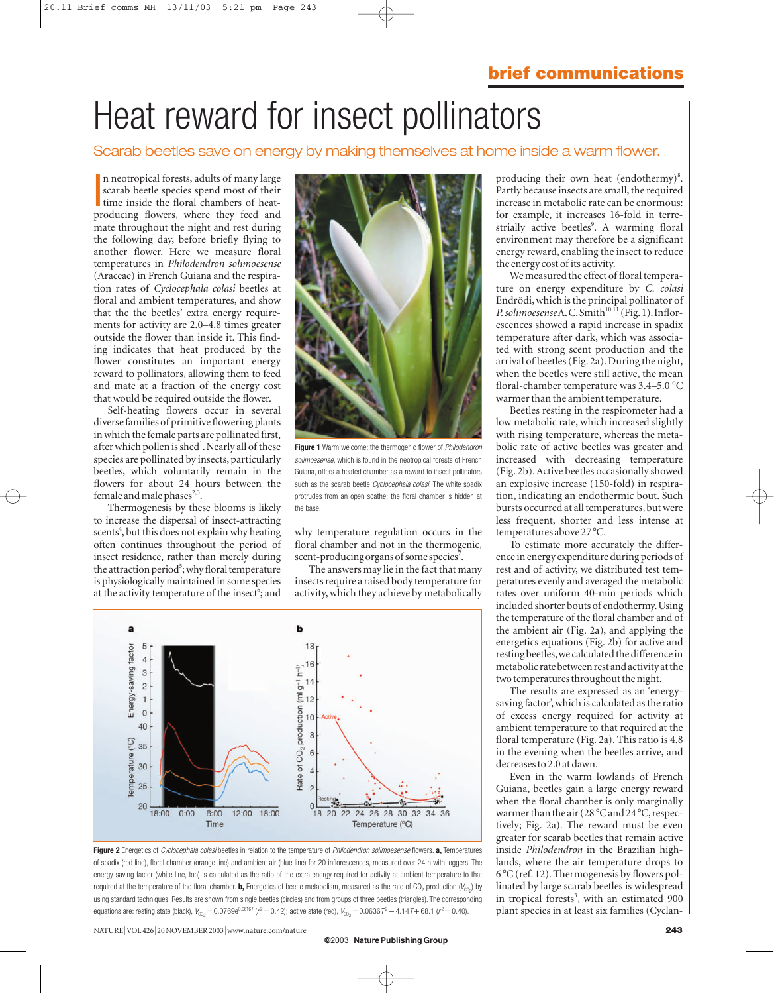# Heat reward for insect pollinators

#### Scarab beetles save on energy by making themselves at home inside a warm flower.

In neotropical forests, adults of many large<br>scarab beetle species spend most of their<br>time inside the floral chambers of heat-<br>producing flowers, where they feed and n neotropical forests, adults of many large scarab beetle species spend most of their time inside the floral chambers of heatmate throughout the night and rest during the following day, before briefly flying to another flower. Here we measure floral temperatures in *Philodendron solimoesense* (Araceae) in French Guiana and the respiration rates of *Cyclocephala colasi* beetles at floral and ambient temperatures, and show that the the beetles' extra energy requirements for activity are 2.0–4.8 times greater outside the flower than inside it. This finding indicates that heat produced by the flower constitutes an important energy reward to pollinators, allowing them to feed and mate at a fraction of the energy cost that would be required outside the flower.

Self-heating flowers occur in several diverse families of primitive flowering plants in which the female parts are pollinated first, after which pollen is shed<sup>1</sup>. Nearly all of these species are pollinated by insects, particularly beetles, which voluntarily remain in the flowers for about 24 hours between the female and male phases<sup>2,3</sup>.

Thermogenesis by these blooms is likely to increase the dispersal of insect-attracting scents<sup>4</sup>, but this does not explain why heating often continues throughout the period of insect residence, rather than merely during the attraction period<sup>5</sup>; why floral temperature is physiologically maintained in some species at the activity temperature of the insect<sup>6</sup>; and



**Figure 1** Warm welcome: the thermogenic flower of *Philodendron solimoesense*, which is found in the neotropical forests of French Guiana, offers a heated chamber as a reward to insect pollinators such as the scarab beetle *Cyclocephala colasi.* The white spadix protrudes from an open scathe; the floral chamber is hidden at the base.

why temperature regulation occurs in the floral chamber and not in the thermogenic, scent-producing organs of some species<sup>7</sup>.

The answers may lie in the fact that many insects require a raised body temperature for activity, which they achieve by metabolically



**Figure 2** Energetics of *Cyclocephala colasi* beetles in relation to the temperature of *Philodendron solimoesense* flowers. **a,** Temperatures of spadix (red line), floral chamber (orange line) and ambient air (blue line) for 20 inflorescences, measured over 24 h with loggers. The energy-saving factor (white line, top) is calculated as the ratio of the extra energy required for activity at ambient temperature to that required at the temperature of the floral chamber. **b,** Energetics of beetle metabolism, measured as the rate of CO<sub>2</sub> production ( $V_{\text{CO}_2}$ ) by using standard techniques. Results are shown from single beetles (circles) and from groups of three beetles (triangles). The corresponding equations are: resting state (black),  $V_{\text{CO}_2} = 0.0769e^{0.06167}$  ( $r^2 = 0.42$ ); active state (red),  $V_{\text{CO}_2} = 0.06367^2 - 4.147 + 68.1$  ( $r^2 = 0.40$ ).

NATURE|VOL 426 <sup>|</sup> 20 NOVEMBER 2003 <sup>|</sup>www.nature.com/nature **243**

producing their own heat (endothermy)<sup>8</sup>. Partly because insects are small, the required increase in metabolic rate can be enormous: for example, it increases 16-fold in terrestrially active beetles<sup>9</sup>. A warming floral environment may therefore be a significant energy reward, enabling the insect to reduce the energy cost of its activity.

We measured the effect of floral temperature on energy expenditure by *C. colasi* Endrödi, which is the principal pollinator of *P. solimoesense* A.C. Smith<sup>10,11</sup> (Fig. 1). Inflorescences showed a rapid increase in spadix temperature after dark, which was associated with strong scent production and the arrival of beetles (Fig. 2a). During the night, when the beetles were still active, the mean floral-chamber temperature was  $3.4-5.0$  °C warmer than the ambient temperature.

Beetles resting in the respirometer had a low metabolic rate, which increased slightly with rising temperature, whereas the metabolic rate of active beetles was greater and increased with decreasing temperature (Fig. 2b). Active beetles occasionally showed an explosive increase (150-fold) in respiration, indicating an endothermic bout. Such bursts occurred at all temperatures, but were less frequent, shorter and less intense at temperatures above 27 °C.

To estimate more accurately the difference in energy expenditure during periods of rest and of activity, we distributed test temperatures evenly and averaged the metabolic rates over uniform 40-min periods which included shorter bouts of endothermy.Using the temperature of the floral chamber and of the ambient air (Fig. 2a), and applying the energetics equations (Fig. 2b) for active and resting beetles,we calculated the difference in metabolic rate between rest and activity at the two temperatures throughout the night.

The results are expressed as an 'energysaving factor', which is calculated as the ratio of excess energy required for activity at ambient temperature to that required at the floral temperature (Fig. 2a). This ratio is 4.8 in the evening when the beetles arrive, and decreases to 2.0 at dawn.

Even in the warm lowlands of French Guiana, beetles gain a large energy reward when the floral chamber is only marginally warmer than the air  $(28^{\circ}$ C and  $24^{\circ}$ C, respectively; Fig. 2a). The reward must be even greater for scarab beetles that remain active inside *Philodendron* in the Brazilian highlands, where the air temperature drops to  $6^{\circ}$ C (ref. 12). Thermogenesis by flowers pollinated by large scarab beetles is widespread in tropical forests<sup>3</sup>, with an estimated 900 plant species in at least six families (Cyclan-